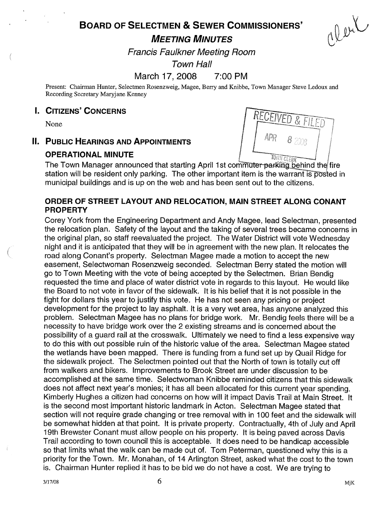# BOARD OF SELECTMEN & SEWER COMMISSIONERS' UT THE COMMISSIONERS' A Limiting MINUTES

Francis Faulkner Meeting Room

Town Hall

## March 17, 2008 7:00 PM

Present: Chairman Hunter, Selectmen Rosenzweig, Magee, Berry and Knibbe, Town Manager Steve Ledoux and Recording Secretary Maryjane Kenney

#### I. CITIZENS' CONCERNS

None

#### II. PUBLIC HEARINGS AND APPOINTMENTS

#### OPERATIONAL MINUTE



**OPERATIONAL MINOTE**<br>The Town Manager announced that starting April 1st commuter-parking behind the fire station will be resident only parking. The other important item is the warrant is posted in municipal buildings and is up on the web and has been sent out to the citizens.

#### ORDER OF STREET LAYOUT AND RELOCATION, MAIN STREET ALONG CONANT PROPERTY

Corey York from the Engineering Department and Andy Magee, lead Selectman, presented the relocation plan. Safety of the layout and the taking of several trees became concerns in the original plan, so staff reevaluated the project. The Water District will vote Wednesday night and it is anticipated that they will be in agreement with the new plan. It relocates the road along Conant's property. Selectman Magee made a motion to accept the new easement, Selectwoman Rosenzweig seconded. Selectman Berry stated the motion will go to Town Meeting with the vote of being accepted by the Selectmen. Brian Bendig requested the time and place of water district vote in regards to this layout. He would like the Board to not vote in favor of the sidewalk. It is his belief that it is not possible in the fight for dollars this year to justify this vote. He has not seen any pricing or project development for the project to lay asphalt. It is a very wet area, has anyone analyzed this problem. Selectman Magee has no plans for bridge work. Mr. Bendig feels there will be a necessity to have bridge work over the 2 existing streams and is concerned about the possibility of a guard rail at the crosswalk. Ultimately we need to find a less expensive way to do this with out possible ruin of the historic value of the area. Selectman Magee stated the wetlands have been mapped. There is funding from a fund set up by Quail Ridge for the sidewalk project. The Selectmen pointed out that the North of town is totally cut off from walkers and bikers. Improvements to Brook Street are under discussion to be accomplished at the same time. Selectwoman Knibbe reminded citizens that this sidewalk does not affect next year's monies; it has all been allocated for this current year spending. Kimberly Hughes a citizen had concerns on how will it impact Davis Trail at Main Street. It is the second most important historic landmark in Acton. Selectman Magee stated that section will not require grade changing or tree removal with in 100 feet and the sidewalk will be somewhat hidden at that point, It is private property. Contractually, 4th of July and April 19th Brewster Conant must allow people on his property. It is being paved across Davis Trail according to town council this is acceptable. It does need to be handicap accessible so that limits what the walk can be made out of. Tom Peterman, questioned why this is a priority for the Town. Mr. Monahan, of 14 Arlington Street, asked what the cost to the town is. Chairman Hunter replied it has to be bid we do not have a cost. We are trying to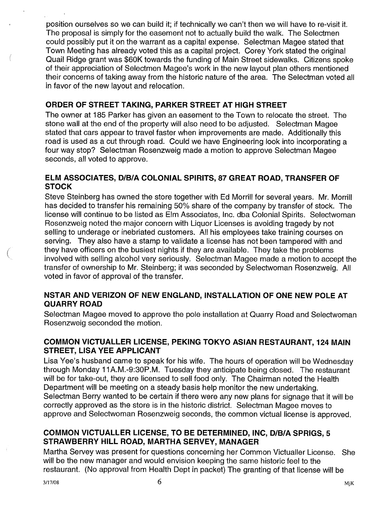position ourselves so we can build it; if technically we can't then we will have to re-visit it. The proposal is simply for the easement not to actually build the walk. The Selectmen could possibly put it on the warrant as a capital expense. Selectman Magee stated that Town Meeting has already voted this as a capital project. Corey York stated the original Quail Ridge grant was \$60K towards the funding of Main Street sidewalks. Citizens spoke of their appreciation of Selectmen Magee's work in the new layout plan others mentioned their concerns of taking away from the historic nature of the area. The Selectman voted all in favor of the new layout and relocation.

## ORDER OF STREET TAKING, PARKER STREET AT HIGH STREET

The owner at 185 Parker has given an easement to the Town to relocate the street. The stone wall at the end of the property will also need to be adjusted. Selectman Magee stated that cars appear to travel faster when improvements are made. Additionally this road is used as a cut through road. Could we have Engineering look into incorporating a four way stop? Selectman Rosenzweig made a motion to approve Selectman Magee seconds, all voted to approve.

## ELM ASSOCIATES, DIBIA COLONIAL SPIRITS, 87 GREAT ROAD, TRANSFER OF **STOCK**

Steve Steinberg has owned the store together with Ed Morrill for several years. Mr. Morrill has decided to transfer his remaining 50% share of the company by transfer of stock. The license will continue to be listed as Elm Associates, Inc. dba Colonial Spirits. Selectwoman Rosenzweig noted the major concern with Liquor Licenses is avoiding tragedy by not selling to underage or inebriated customers. All his employees take training courses on serving. They also have a stamp to validate a license has not been tampered with and they have officers on the busiest nights if they are available. They take the problems involved with selling alcohol very seriously. Selectman Magee made a motion to accept the transfer of ownership to Mr. Steinberg; it was seconded by Selectwoman Rosenzweig. All voted in favor of approval of the transfer.

## NSTAR AND VERIZON OF NEW ENGLAND, INSTALLATION OF ONE NEW POLE AT QUARRY ROAD

Selectman Magee moved to approve the pole installation at Quarry Road and Selectwoman Rosenzweig seconded the motion.

## COMMON VICTUALLER LICENSE, PEKING TOKYO ASIAN RESTAURANT, 124 MAIN STREET, LISA YEE APPLICANT

Lisa Yee's husband came to speak for his wife. The hours of operation will be Wednesday through Monday 11A.M.-9:30P.M. Tuesday they anticipate being closed. The restaurant will be for take-out, they are licensed to sell food only. The Chairman noted the Health Department will be meeting on a steady basis help monitor the new undertaking. Selectman Berry wanted to be certain if there were any new plans for signage that it will be correctly approved as the store is in the historic district. Selectman Magee moves to approve and Selectwoman Rosenzweig seconds, the common victual license is approved.

## COMMON VICTUALLER LICENSE, TO BE DETERMINED, INC, D/B/A SPRIGS, 5 STRAWBERRY HILL ROAD, MARTHA SERVEY, MANAGER

Martha Servey was present for questions concerning her Common Victualler License. She will be the new manager and would envision keeping the same historic feel to the restaurant. (No approval from Health Dept in packet) The granting of that license will be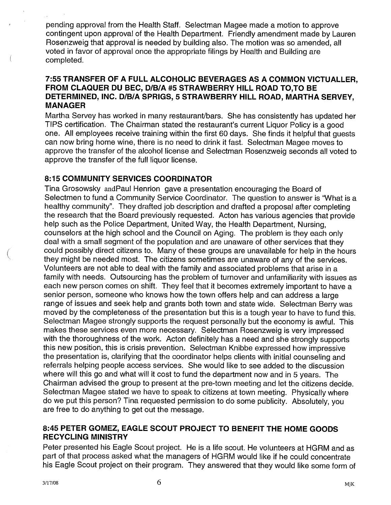pending approval from the Health Staff. Selectman Magee made a motion to approve contingent upon approval of the Health Department. Friendly amendment made by Lauren Rosenzweig that approval is needed by building also. The motion was so amended, all voted in favor of approval once the appropriate filings by Health and Building are completed.

#### 7:55 TRANSFER OF A FULL ALCOHOLIC BEVERAGES AS A COMMON VICTUALLER, FROM CLAQUER DU BEC, D/B/A #5 STRAWBERRY HILL ROAD TO, TO BE DETERMINED, INC. D/B/A SPRIGS, 5 STRAWBERRY HILL ROAD, MARTHA SERVEY, MANAGER

Martha Servey has worked in many restaurant/bars. She has consistently has updated her TIPS certification. The Chairman stated the restaurant's current Liquor Policy is a good one. All employees receive training within the first 60 days. She finds it helpful that guests can now bring home wine, there is no need to drink it fast. Selectman Magee moves to approve the transfer of the alcohol license and Selectman Rosenzweig seconds all voted to approve the transfer of the full liquor license.

## 8:15 COMMUNITY SERVICES COORDINATOR

Tina Grosowsky andPaul Henrion gave a presentation encouraging the Board of Selectmen to fund a Community Service Coordinator. The question to answer is 'What is a healthy community". They drafted job description and drafted a proposal after completing the research that the Board previously requested. Acton has various agencies that provide help such as the Police Department, United Way, the Health Department, Nursing, counselors at the high school and the Council on Aging. The problem is they each only deal with a small segment of the population and are unaware of other services that they could possibly direct citizens to. Many of these groups are unavailable for help in the hours they might be needed most. The citizens sometimes are unaware of any of the services. Volunteers are not able to deal with the family and associated problems that arise in a family with needs. Outsourcing has the problem of turnover and unfamiliarity with issues as each new person comes on shift. They feel that it becomes extremely important to have a senior person, someone who knows how the town offers help and can address a large range of issues and seek help and grants both town and state wide. Selectman Berry was moved by the completeness of the presentation but this is a tough year to have to fund this. Selectman Magee strongly supports the request personally but the economy is awful. This makes these services even more necessary. Selectman Rosenzweig is very impressed with the thoroughness of the work. Acton definitely has a need and she strongly supports this new position, this is crisis prevention. Selectman Knibbe expressed how impressive the presentation is, clarifying that the coordinator helps clients with initial counseling and referrals helping people access services. She would like to see added to the discussion where will this go and what will it cost to fund the department now and in 5 years. The Chairman advised the group to present at the pre-town meeting and let the citizens decide. Selectman Magee stated we have to speak to citizens at town meeting. Physically where do we put this person? Tina requested permission to do some publicity. Absolutely, you are free to do anything to get out the message.

#### 8:45 PETER GOMEZ, EAGLE SCOUT PROJECT TO BENEFIT THE HOME GOODS RECYCLING MINISTRY

Peter presented his Eagle Scout project. He is a life scout. He volunteers at HGRM and as part of that process asked what the managers of HGRM would like if he could concentrate his Eagle Scout project on their program. They answered that they would like some form of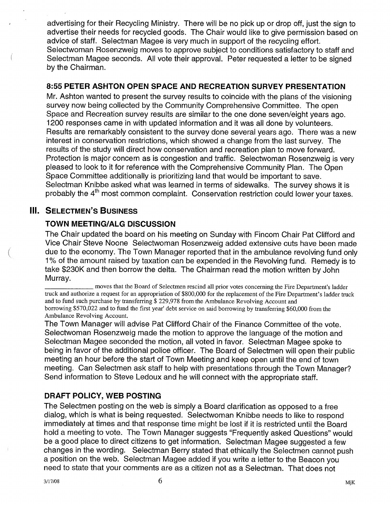advertising for their Recycling Ministry. There will be no pick up or drop off, just the sign to advertise their needs for recycled goods. The Chair would like to give permission based on advice of staff. Selectman Magee is very much in support of the recycling effort. Selectwoman Rosenzweig moves to approve subject to conditions satisfactory to staff and Selectman Magee seconds. All vote their approval. Peter requested a letter to be signed by the Chairman.

#### 8:55 PETER ASHTON OPEN SPACE AND RECREATION SURVEY PRESENTATION

Mr. Ashton wanted to present the survey results to coincide with the plans of the visioning survey now being collected by the Community Comprehensive Committee. The open Space and Recreation survey results are similar to the one done seven/eight years ago. 1200 responses came in with updated information and it was all done by volunteers. Results are remarkably consistent to the survey done several years ago. There was a new interest in conservation restrictions, which showed a change from the last survey. The results of the study will direct how conservation and recreation plan to move forward. Protection is major concern as is congestion and traffic. Selectwoman Rosenzweig is very pleased to look to it for reference with the Comprehensive Community Plan. The Open Space Committee additionally is prioritizing land that would be important to save. Selectman Knibbe asked what was learned in terms of sidewalks. The survey shows it is probably the  $4<sup>th</sup>$  most common complaint. Conservation restriction could lower your taxes.

## **III. SELECTMEN'S BUSINESS**

## TOWN MEETING/ALG DISCUSSION

The Chair updated the board on his meeting on Sunday with Fincom Chair Pat Clifford and Vice Chair Steve Noone Selectwoman Rosenzweig added extensive cuts have been made due to the economy. The Town Manager reported that in the ambulance revolving fund only 1% of the amount raised by taxation can be expended in the Revolving fund. Remedy is to take \$230K and then borrow the delta. The Chairman read the motion written by John Murray.

moves that the Board of Selectmen rescind all prior votes concerning the Fire Department's ladder truck and authorize a request for an appropriation of \$800,000 for the replacement of the Fire Department's ladder truck and to fund such purchase by transferring \$ 229,978 from the Ambulance Revolving Account and borrowing \$570,022 and to fund the first year' debt service on said borrowing by transferring \$60,000 from the Ambulance Revolving Account.

The Town Manager will advise Pat Clifford Chair of the Finance Committee of the vote. Selectwoman Rosenzweig made the motion to approve the language of the motion and Selectman Magee seconded the motion, all voted in favor. Selectman Magee spoke to being in favor of the additional police officer. The Board of Selectmen will open their public meeting an hour before the start of Town Meeting and keep open until the end of town meeting. Can Selectmen ask staff to help with presentations through the Town Manager? Send information to Steve Ledoux and he will connect with the appropriate staff.

## DRAFT POLICY, WEB POSTING

The Selectmen posting on the web is simply a Board clarification as opposed to a free dialog, which is what is being requested. Selectwoman Knibbe needs to like to respond immediately at times and that response time might be lost if it is restricted until the Board hold a meeting to vote. The Town Manager suggests "Frequently asked Questions" would be a good place to direct citizens to get information. Selectman Magee suggested a few changes in the wording. Selectman Berry stated that ethically the Selectmen cannot push a position on the web. Selectman Magee added if you write a letter to the Beacon you need to state that your comments are as a citizen not as a Selectman. That does not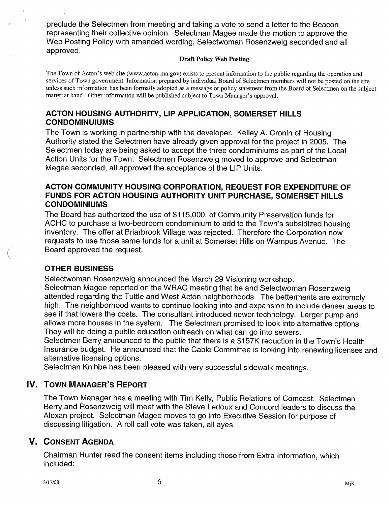preclude the Selectmen from meeting and taking a vote to send a letter to the Beacon representing their collective opinion. Selectman Magee made the motion to approve the Web Posting Policy with amended wording, Selectwoman Rosenzweig seconded and all approved.

#### Draft Policy Web Posting

The Town of Acton's web site (www.acton-ma.gov) exists to present information to the public regarding the operation and services of Town government. Information prepared by individual Board of Selectmen members will not be posted on the site unless such information has been formally adopted as a message or policy statement from the Board of Selectmen on the subject matter at hand. Other information will be published subject to Town Manager's approval.

## ACTON HOUSING AUTHORITY, LIP APPLICATION, SOMERSET HILLS CONDOMINUIUMS

The Town is working in partnership with the developer. Kelley A. Cronin of Housing Authority stated the Selectmen have already given approval for the project in 2005. The Selectmen today are being asked to accept the three condominiums as part of the Local Action Units for the Town. Selectmen Rosenzweig moved to approve and Selectman Magee seconded, all approved the acceptance of the LIP Units.

## ACTON COMMUNITY HOUSING CORPORATION, REQUEST FOR EXPENDITURE OF FUNDS FOR ACTON HOUSING AUTHORITY UNIT PURCHASE, SOMERSET HILLS **CONDOMINIUMS**

The Board has authorized the use of \$115,000. of Community Preservation funds for ACHC to purchase a two-bedroom condominium to add to the Town's subsidized housing inventory. The offer at Briarbrook Village was rejected. Therefore the Corporation now requests to use those same funds for a unit at Somerset Hills on Wampus Avenue. The Board approved the request.

## OTHER BUSINESS

Selectwoman Rosenzweig announced the March 29 Visioning workshop.

Selectman Magee reported on the WRAC meeting that he and Selectwoman Rosenzweig attended regarding the Tuttle and West Acton neighborhoods. The betterments are extremely high. The neighborhood wants to continue looking into and expansion to include denser areas to see if that lowers the costs. The consultant introduced newer technology. Larger pump and allows more houses in the system. The Selectman promised to look into alternative options. They will be doing a public education outreach on what can go into sewers.

Selectmen Berry announced to the public that there is a \$157K reduction in the Town's Health Insurance budget. He announced that the Cable Commiffee is looking into renewing licenses and alternative licensing options.

Selectman Knibbe has been pleased with very successful sidewalk meetings.

## IV. TOWN MANAGER'S REPORT

The Town Manager has a meeting with Tim Kelly, Public Relations of Comcast. Selectmen Berry and Rosenzweig will meet with the Steve Ledoux and Concord leaders to discuss the Alexan project. Selectman Magee moves to go into Executive Session for purpose of discussing litigation. A roll call vote was taken, all ayes.

## V. CONSENT AGENDA

Chairman Hunter read the consent items including those from Extra Information, which included: